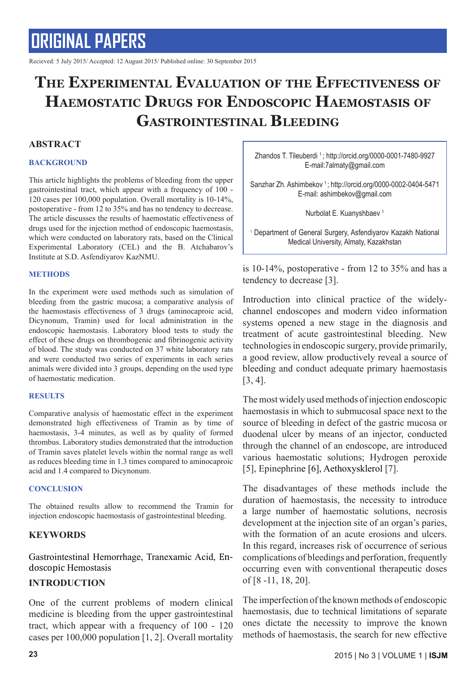Recieved: 5 July 2015/ Accepted: 12 August 2015/ Published online: 30 September 2015

## **The Experimental Evaluation of the Effectiveness of Haemostatic Drugs for Endoscopic Haemostasis of Gastrointestinal Bleeding**

#### **ABSTRACT**

#### **BACKGROUND**

This article highlights the problems of bleeding from the upper gastrointestinal tract, which appear with a frequency of 100 - 120 cases per 100,000 population. Overall mortality is 10-14%, postoperative - from 12 to 35% and has no tendency to decrease. The article discusses the results of haemostatic effectiveness of drugs used for the injection method of endoscopic haemostasis, which were conducted on laboratory rats, based on the Clinical Experimental Laboratory (CEL) and the B. Atchabarov's Institute at S.D. Asfendiyarov KazNMU.

#### **METHODS**

In the experiment were used methods such as simulation of bleeding from the gastric mucosa; a comparative analysis of the haemostasis effectiveness of 3 drugs (aminocaproic acid, Dicynonum, Tramin) used for local administration in the endoscopic haemostasis. Laboratory blood tests to study the effect of these drugs on thrombogenic and fibrinogenic activity of blood. The study was conducted on 37 white laboratory rats and were conducted two series of experiments in each series animals were divided into 3 groups, depending on the used type of haemostatic medication.

#### **RESULTS**

Comparative analysis of haemostatic effect in the experiment demonstrated high effectiveness of Tramin as by time of haemostasis, 3-4 minutes, as well as by quality of formed thrombus. Laboratory studies demonstrated that the introduction of Tramin saves platelet levels within the normal range as well as reduces bleeding time in 1.3 times compared to aminocaproic acid and 1.4 compared to Dicynonum.

#### **CONCLUSION**

The obtained results allow to recommend the Tramin for injection endoscopic haemostasis of gastrointestinal bleeding.

#### **KEYWORDS**

Gastrointestinal Hemorrhage, Tranexamic Acid, Endoscopic Hemostasis

#### **INTRODUCTION**

One of the current problems of modern clinical medicine is bleeding from the upper gastrointestinal tract, which appear with a frequency of 100 - 120 cases per 100,000 population [1, 2]. Overall mortality Zhandos T. Tileuberdi <sup>1</sup>; http://orcid.org/0000-0001-7480-9927 E-mail:7almaty@gmail.com

Sanzhar Zh. Ashimbekov 1 ; http://orcid.org/0000-0002-0404-5471 E-mail: ashimbekov@gmail.com

Nurbolat E. Kuanyshbaev<sup>1</sup>

1 Department of General Surgery, Asfendiyarov Kazakh National Medical University, Almaty, Kazakhstan

is 10-14%, postoperative - from 12 to 35% and has a tendency to decrease [3].

Introduction into clinical practice of the widelychannel endoscopes and modern video information systems opened a new stage in the diagnosis and treatment of acute gastrointestinal bleeding. New technologies in endoscopic surgery, provide primarily, a good review, allow productively reveal a source of bleeding and conduct adequate primary haemostasis [3, 4].

The most widely used methods of injection endoscopic haemostasis in which to submucosal space next to the source of bleeding in defect of the gastric mucosa or duodenal ulcer by means of an injector, conducted through the channel of an endoscope, are introduced various haemostatic solutions; Hydrogen peroxide [5], Epinephrine [6], Aethoxysklerol [7].

The disadvantages of these methods include the duration of haemostasis, the necessity to introduce a large number of haemostatic solutions, necrosis development at the injection site of an organ's paries, with the formation of an acute erosions and ulcers. In this regard, increases risk of occurrence of serious complications of bleedings and perforation, frequently occurring even with conventional therapeutic doses of [8 -11, 18, 20].

The imperfection of the known methods of endoscopic haemostasis, due to technical limitations of separate ones dictate the necessity to improve the known methods of haemostasis, the search for new effective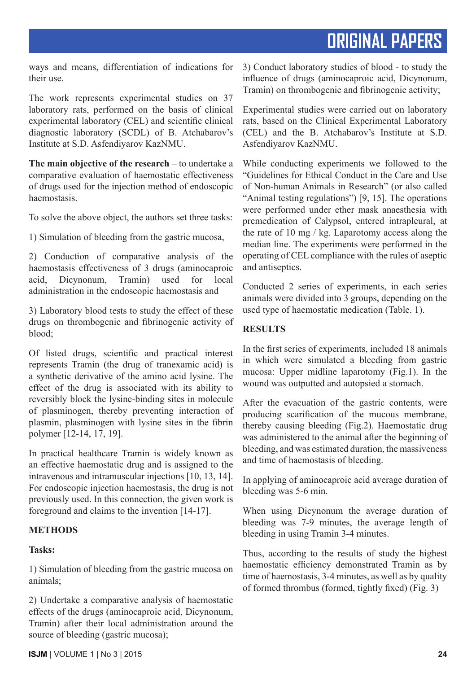ways and means, differentiation of indications for their use.

The work represents experimental studies on 37 laboratory rats, performed on the basis of clinical experimental laboratory (CEL) and scientific clinical diagnostic laboratory (SCDL) of B. Atchabarov's Institute at S.D. Asfendiyarov KazNMU.

**The main objective of the research** – to undertake a comparative evaluation of haemostatic effectiveness of drugs used for the injection method of endoscopic haemostasis.

To solve the above object, the authors set three tasks:

1) Simulation of bleeding from the gastric mucosa,

2) Conduction of comparative analysis of the haemostasis effectiveness of 3 drugs (aminocaproic acid, Dicynonum, Tramin) used for local administration in the endoscopic haemostasis and

3) Laboratory blood tests to study the effect of these drugs on thrombogenic and fibrinogenic activity of blood;

Of listed drugs, scientific and practical interest represents Tramin (the drug of tranexamic acid) is a synthetic derivative of the amino acid lysine. The effect of the drug is associated with its ability to reversibly block the lysine-binding sites in molecule of plasminogen, thereby preventing interaction of plasmin, plasminogen with lysine sites in the fibrin polymer [12-14, 17, 19].

In practical healthcare Tramin is widely known as an effective haemostatic drug and is assigned to the intravenous and intramuscular injections [10, 13, 14]. For endoscopic injection haemostasis, the drug is not previously used. In this connection, the given work is foreground and claims to the invention [14-17].

### **METHODS**

### **Tasks:**

1) Simulation of bleeding from the gastric mucosa on animals;

2) Undertake a comparative analysis of haemostatic effects of the drugs (aminocaproic acid, Dicynonum, Tramin) after their local administration around the source of bleeding (gastric mucosa);

3) Conduct laboratory studies of blood - to study the influence of drugs (aminocaproic acid, Dicynonum, Tramin) on thrombogenic and fibrinogenic activity;

Experimental studies were carried out on laboratory rats, based on the Clinical Experimental Laboratory (CEL) and the B. Atchabarov's Institute at S.D. Asfendiyarov KazNMU.

While conducting experiments we followed to the "Guidelines for Ethical Conduct in the Care and Use of Non-human Animals in Research" (or also called "Animal testing regulations") [9, 15]. The operations were performed under ether mask anaesthesia with premedication of Calypsol, entered intrapleural, at the rate of 10 mg / kg. Laparotomy access along the median line. The experiments were performed in the operating of CEL compliance with the rules of aseptic and antiseptics.

Conducted 2 series of experiments, in each series animals were divided into 3 groups, depending on the used type of haemostatic medication (Table. 1).

### **RESULTS**

In the first series of experiments, included 18 animals in which were simulated a bleeding from gastric mucosa: Upper midline laparotomy (Fig.1). In the wound was outputted and autopsied a stomach.

After the evacuation of the gastric contents, were producing scarification of the mucous membrane, thereby causing bleeding (Fig.2). Haemostatic drug was administered to the animal after the beginning of bleeding, and was estimated duration, the massiveness and time of haemostasis of bleeding.

In applying of aminocaproic acid average duration of bleeding was 5-6 min.

When using Dicynonum the average duration of bleeding was 7-9 minutes, the average length of bleeding in using Tramin 3-4 minutes.

Thus, according to the results of study the highest haemostatic efficiency demonstrated Tramin as by time of haemostasis, 3-4 minutes, as well as by quality of formed thrombus (formed, tightly fixed) (Fig. 3)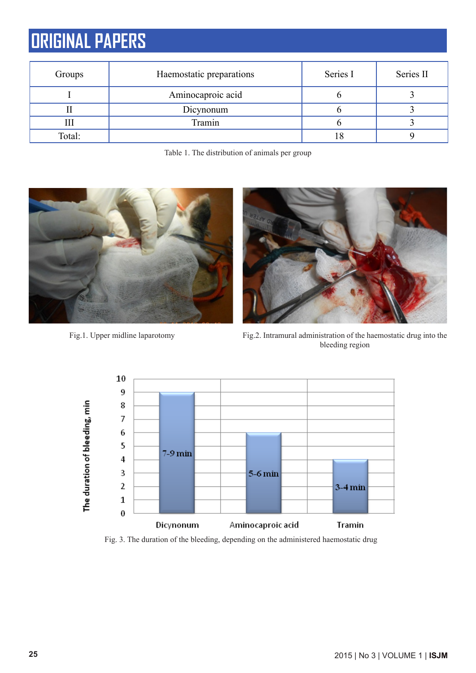| Groups | Haemostatic preparations | Series I | Series II |  |
|--------|--------------------------|----------|-----------|--|
|        | Aminocaproic acid        |          |           |  |
|        | Dicynonum                |          |           |  |
|        | Tramin                   |          |           |  |
| Total: |                          |          |           |  |

Table 1. The distribution of animals per group



Fig.1. Upper midline laparotomy Fig.2. Intramural administration of the haemostatic drug into the bleeding region



Fig. 3. The duration of the bleeding, depending on the administered haemostatic drug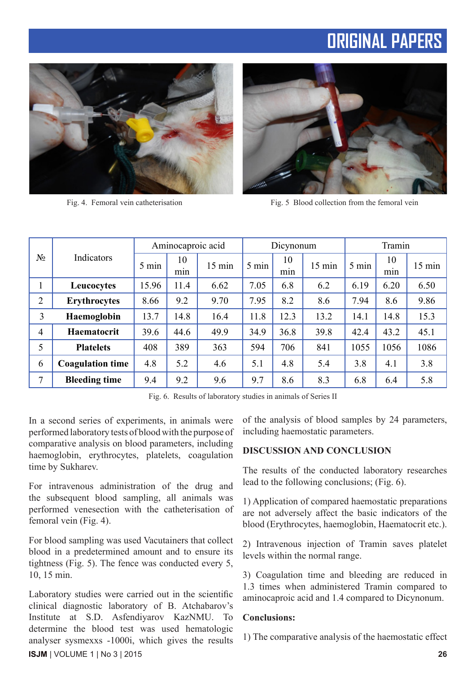



Fig. 4. Femoral vein catheterisation Fig. 5 Blood collection from the femoral vein

| $N_2$          | Indicators              | Aminocaproic acid |           | Dicynonum        |                 | Tramin    |                  |       |           |                  |
|----------------|-------------------------|-------------------|-----------|------------------|-----------------|-----------|------------------|-------|-----------|------------------|
|                |                         | 5 min             | 10<br>min | $15 \text{ min}$ | $5 \text{ min}$ | 10<br>min | $15 \text{ min}$ | 5 min | 10<br>mın | $15 \text{ min}$ |
|                | Leucocytes              | 15.96             | 11.4      | 6.62             | 7.05            | 6.8       | 6.2              | 6.19  | 6.20      | 6.50             |
| $\overline{2}$ | <b>Erythrocytes</b>     | 8.66              | 9.2       | 9.70             | 7.95            | 8.2       | 8.6              | 7.94  | 8.6       | 9.86             |
| 3              | Haemoglobin             | 13.7              | 14.8      | 16.4             | 11.8            | 12.3      | 13.2             | 14.1  | 14.8      | 15.3             |
| $\overline{4}$ | Haematocrit             | 39.6              | 44.6      | 49.9             | 34.9            | 36.8      | 39.8             | 42.4  | 43.2      | 45.1             |
| 5              | <b>Platelets</b>        | 408               | 389       | 363              | 594             | 706       | 841              | 1055  | 1056      | 1086             |
| 6              | <b>Coagulation time</b> | 4.8               | 5.2       | 4.6              | 5.1             | 4.8       | 5.4              | 3.8   | 4.1       | 3.8              |
| 7              | <b>Bleeding time</b>    | 9.4               | 9.2       | 9.6              | 9.7             | 8.6       | 8.3              | 6.8   | 6.4       | 5.8              |

Fig. 6. Results of laboratory studies in animals of Series II

In a second series of experiments, in animals were performed laboratory tests of blood with the purpose of comparative analysis on blood parameters, including haemoglobin, erythrocytes, platelets, coagulation time by Sukharev.

For intravenous administration of the drug and the subsequent blood sampling, all animals was performed venesection with the catheterisation of femoral vein (Fig. 4).

For blood sampling was used Vacutainers that collect blood in a predetermined amount and to ensure its tightness (Fig. 5). The fence was conducted every 5, 10, 15 min.

**ISJM** | VOLUME 1 | No 3 | 2015 **26** Laboratory studies were carried out in the scientific clinical diagnostic laboratory of B. Atchabarov's Institute at S.D. Asfendiyarov KazNMU. To determine the blood test was used hematologic analyser sуsmexxs -1000i, which gives the results

of the analysis of blood samples by 24 parameters, including haemostatic parameters.

#### **DISCUSSION AND CONCLUSION**

The results of the conducted laboratory researches lead to the following conclusions; (Fig. 6).

1) Application of compared haemostatic preparations are not adversely affect the basic indicators of the blood (Erythrocytes, haemoglobin, Haematocrit etc.).

2) Intravenous injection of Tramin saves platelet levels within the normal range.

3) Coagulation time and bleeding are reduced in 1.3 times when administered Tramin compared to aminocaproic acid and 1.4 compared to Dicynonum.

#### **Conclusions:**

1) The comparative analysis of the haemostatic effect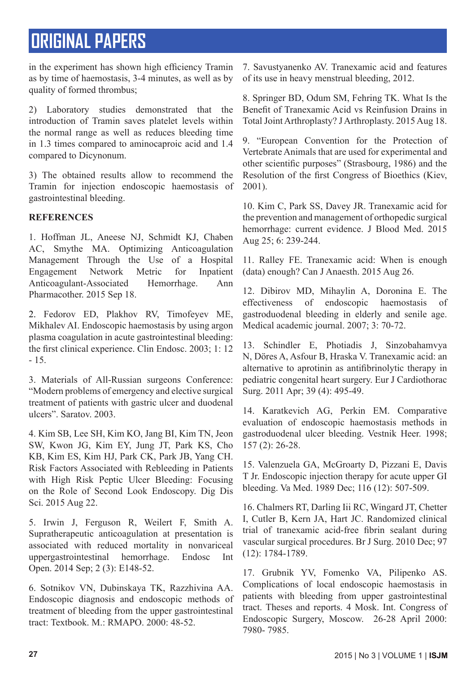in the experiment has shown high efficiency Tramin as by time of haemostasis, 3-4 minutes, as well as by quality of formed thrombus;

2) Laboratory studies demonstrated that the introduction of Tramin saves platelet levels within the normal range as well as reduces bleeding time in 1.3 times compared to aminocaproic acid and 1.4 compared to Dicynonum.

3) The obtained results allow to recommend the Tramin for injection endoscopic haemostasis of gastrointestinal bleeding.

### **REFERENCES**

1. Hoffman JL, Aneese NJ, Schmidt KJ, Chaben AC, Smythe MA. Optimizing Anticoagulation Management Through the Use of a Hospital Engagement Network Metric for Inpatient Anticoagulant-Associated Hemorrhage. Ann Pharmacother. 2015 Sep 18.

2. Fedorov ED, Plakhov RV, Timofeyev ME, Mikhalev AI. Endoscopic haemostasis by using argon plasma coagulation in acute gastrointestinal bleeding: the first clinical experience. Clin Endosc. 2003; 1: 12 - 15.

3. Materials of All-Russian surgeons Conference: "Modern problems of emergency and elective surgical treatment of patients with gastric ulcer and duodenal ulcers". Saratov. 2003.

4. Kim SB, Lee SH, Kim KO, Jang BI, Kim TN, Jeon SW, Kwon JG, Kim EY, Jung JT, Park KS, Cho KB, Kim ES, Kim HJ, Park CK, Park JB, Yang CH. Risk Factors Associated with Rebleeding in Patients with High Risk Peptic Ulcer Bleeding: Focusing on the Role of Second Look Endoscopy. Dig Dis Sci. 2015 Aug 22.

5. Irwin J, Ferguson R, Weilert F, Smith A. Supratherapeutic anticoagulation at presentation is associated with reduced mortality in nonvariceal uppergastrointestinal hemorrhage. Endosc Int Open. 2014 Sep; 2 (3): E148-52.

6. Sotnikov VN, Dubinskaya TK, Razzhivina AA. Endoscopic diagnosis and endoscopic methods of treatment of bleeding from the upper gastrointestinal tract: Textbook. M.: RMAPO. 2000: 48-52.

7. Savustyanenko AV. Tranexamic acid and features of its use in heavy menstrual bleeding, 2012.

8. Springer BD, Odum SM, Fehring TK. What Is the Benefit of Tranexamic Acid vs Reinfusion Drains in Total Joint Arthroplasty? J Arthroplasty. 2015 Aug 18.

9. "European Convention for the Protection of Vertebrate Animals that are used for experimental and other scientific purposes" (Strasbourg, 1986) and the Resolution of the first Congress of Bioethics (Kiev, 2001).

10. Kim C, Park SS, Davey JR. Tranexamic acid for the prevention and management of orthopedic surgical hemorrhage: current evidence. J Blood Med. 2015 Aug 25; 6: 239-244.

11. Ralley FE. Tranexamic acid: When is enough (data) enough? Can J Anaesth. 2015 Aug 26.

12. Dibirov MD, Mihaylin A, Doronina E. The effectiveness of endoscopic haemostasis of gastroduodenal bleeding in elderly and senile age. Medical academic journal. 2007; 3: 70-72.

13. Schindler E, Photiadis J, Sinzobahamvya N, Döres A, Asfour B, Hraska V. Tranexamic acid: an alternative to aprotinin as antifibrinolytic therapy in pediatric congenital heart surgery. Eur J Cardiothorac Surg. 2011 Apr; 39 (4): 495-49.

14. Karatkevich AG, Perkin EM. Comparative evaluation of endoscopic haemostasis methods in gastroduodenal ulcer bleeding. Vestnik Heer. 1998; 157 (2): 26-28.

15. Valenzuela GA, McGroarty D, Pizzani E, Davis T Jr. Endoscopic injection therapy for acute upper GI bleeding. Va Med. 1989 Dec; 116 (12): 507-509.

16. Chalmers RT, Darling Iii RC, Wingard JT, Chetter I, Cutler B, Kern JA, Hart JC. Randomized clinical trial of tranexamic acid-free fibrin sealant during vascular surgical procedures. Br J Surg. 2010 Dec; 97 (12): 1784-1789.

17. Grubnik YV, Fomenko VA, Pilipenko AS. Complications of local endoscopic haemostasis in patients with bleeding from upper gastrointestinal tract. Theses and reports. 4 Mosk. Int. Congress of Endoscopic Surgery, Moscow. 26-28 April 2000: 7980- 7985.